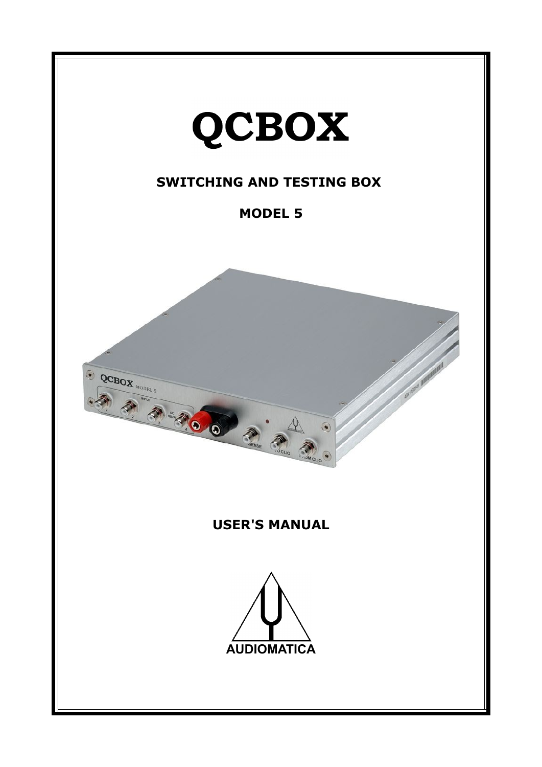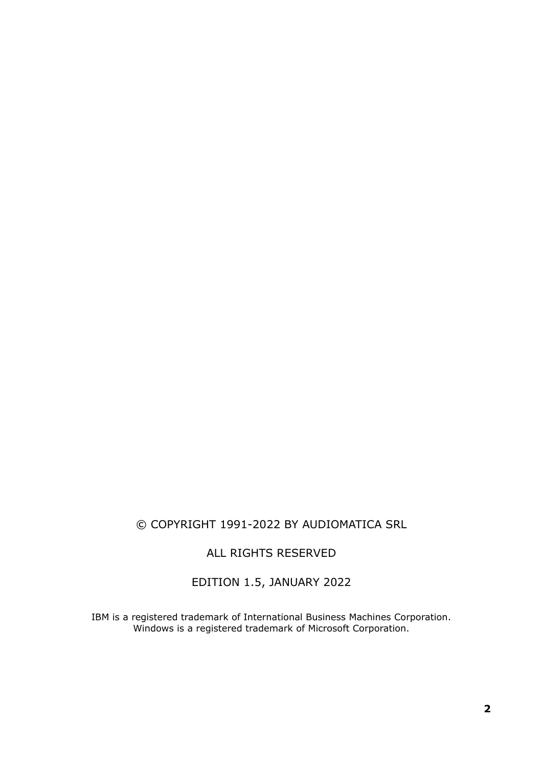# © COPYRIGHT 1991-2022 BY AUDIOMATICA SRL

ALL RIGHTS RESERVED

EDITION 1.5, JANUARY 2022

IBM is a registered trademark of International Business Machines Corporation. Windows is a registered trademark of Microsoft Corporation.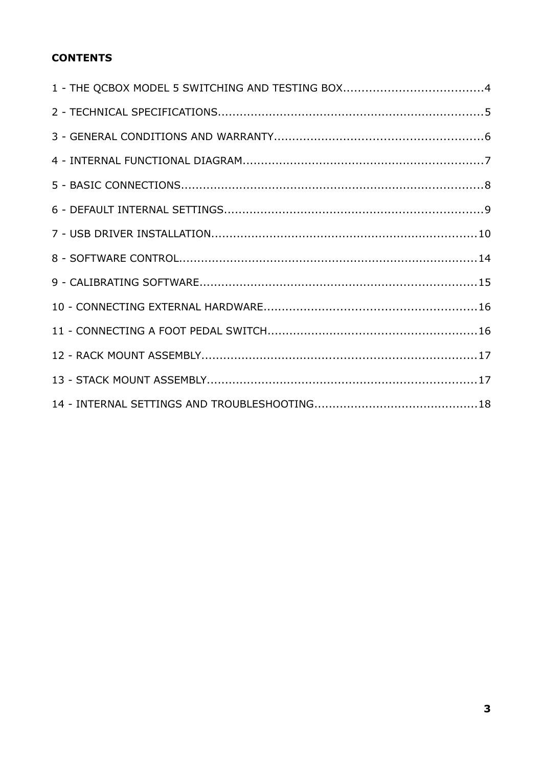# **CONTENTS**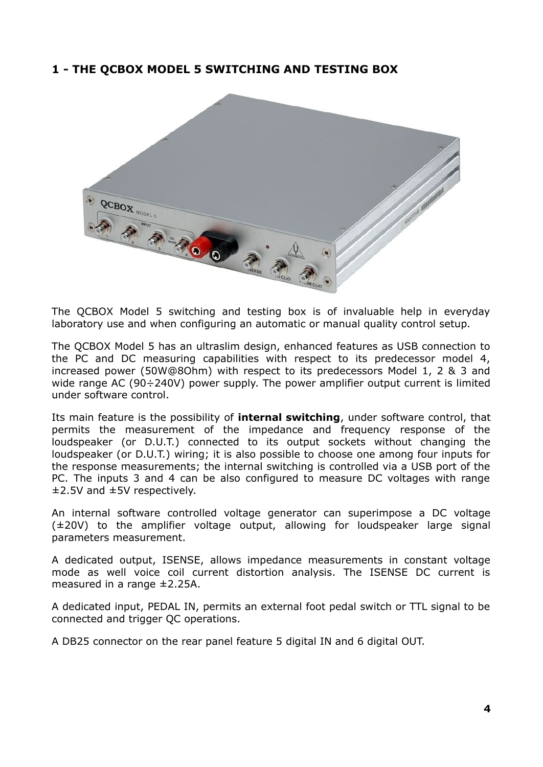## **1 - THE QCBOX MODEL 5 SWITCHING AND TESTING BOX**



The QCBOX Model 5 switching and testing box is of invaluable help in everyday laboratory use and when configuring an automatic or manual quality control setup.

The QCBOX Model 5 has an ultraslim design, enhanced features as USB connection to the PC and DC measuring capabilities with respect to its predecessor model 4, increased power (50W@8Ohm) with respect to its predecessors Model 1, 2 & 3 and wide range AC (90÷240V) power supply. The power amplifier output current is limited under software control.

Its main feature is the possibility of **internal switching**, under software control, that permits the measurement of the impedance and frequency response of the loudspeaker (or D.U.T.) connected to its output sockets without changing the loudspeaker (or D.U.T.) wiring; it is also possible to choose one among four inputs for the response measurements; the internal switching is controlled via a USB port of the PC. The inputs 3 and 4 can be also configured to measure DC voltages with range ±2.5V and ±5V respectively.

An internal software controlled voltage generator can superimpose a DC voltage (±20V) to the amplifier voltage output, allowing for loudspeaker large signal parameters measurement.

A dedicated output, ISENSE, allows impedance measurements in constant voltage mode as well voice coil current distortion analysis. The ISENSE DC current is measured in a range ±2.25A.

A dedicated input, PEDAL IN, permits an external foot pedal switch or TTL signal to be connected and trigger QC operations.

A DB25 connector on the rear panel feature 5 digital IN and 6 digital OUT.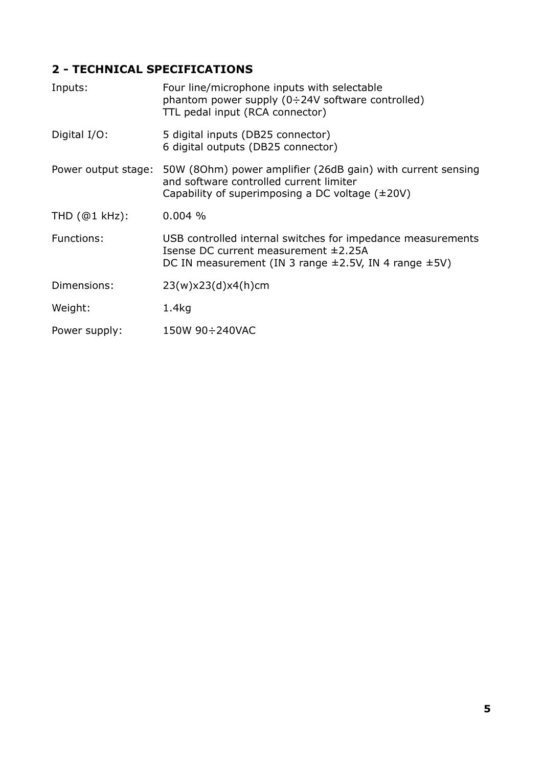# **2 - TECHNICAL SPECIFICATIONS**

| Four line/microphone inputs with selectable<br>phantom power supply $(0\div 24V)$ software controlled)<br>TTL pedal input (RCA connector)                                  |
|----------------------------------------------------------------------------------------------------------------------------------------------------------------------------|
| 5 digital inputs (DB25 connector)<br>6 digital outputs (DB25 connector)                                                                                                    |
| 50W (80hm) power amplifier (26dB gain) with current sensing<br>and software controlled current limiter<br>Capability of superimposing a DC voltage $(\pm 20V)$             |
| 0.004%                                                                                                                                                                     |
| USB controlled internal switches for impedance measurements<br>Isense DC current measurement $\pm$ 2.25A<br>DC IN measurement (IN 3 range $\pm$ 2.5V, IN 4 range $\pm$ 5V) |
| 23(w)x23(d)x4(h)cm                                                                                                                                                         |
| 1.4 <sub>kq</sub>                                                                                                                                                          |
| 150W 90÷240VAC                                                                                                                                                             |
|                                                                                                                                                                            |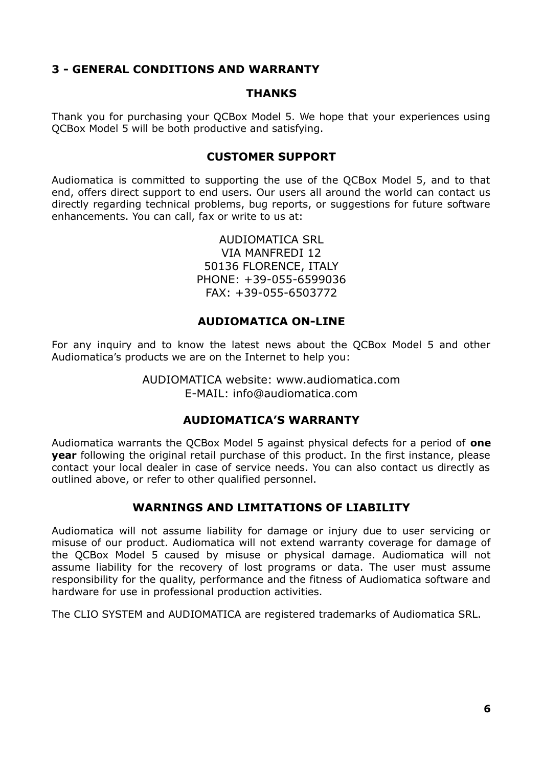## **3 - GENERAL CONDITIONS AND WARRANTY**

#### **THANKS**

Thank you for purchasing your QCBox Model 5. We hope that your experiences using QCBox Model 5 will be both productive and satisfying.

#### **CUSTOMER SUPPORT**

Audiomatica is committed to supporting the use of the QCBox Model 5, and to that end, offers direct support to end users. Our users all around the world can contact us directly regarding technical problems, bug reports, or suggestions for future software enhancements. You can call, fax or write to us at:

> AUDIOMATICA SRL VIA MANFREDI 12 50136 FLORENCE, ITALY PHONE: +39-055-6599036 FAX: +39-055-6503772

#### **AUDIOMATICA ON-LINE**

For any inquiry and to know the latest news about the QCBox Model 5 and other Audiomatica's products we are on the Internet to help you:

> AUDIOMATICA website: www.audiomatica.com E-MAIL: info@audiomatica.com

## **AUDIOMATICA'S WARRANTY**

Audiomatica warrants the QCBox Model 5 against physical defects for a period of **one year** following the original retail purchase of this product. In the first instance, please contact your local dealer in case of service needs. You can also contact us directly as outlined above, or refer to other qualified personnel.

## **WARNINGS AND LIMITATIONS OF LIABILITY**

Audiomatica will not assume liability for damage or injury due to user servicing or misuse of our product. Audiomatica will not extend warranty coverage for damage of the QCBox Model 5 caused by misuse or physical damage. Audiomatica will not assume liability for the recovery of lost programs or data. The user must assume responsibility for the quality, performance and the fitness of Audiomatica software and hardware for use in professional production activities.

The CLIO SYSTEM and AUDIOMATICA are registered trademarks of Audiomatica SRL.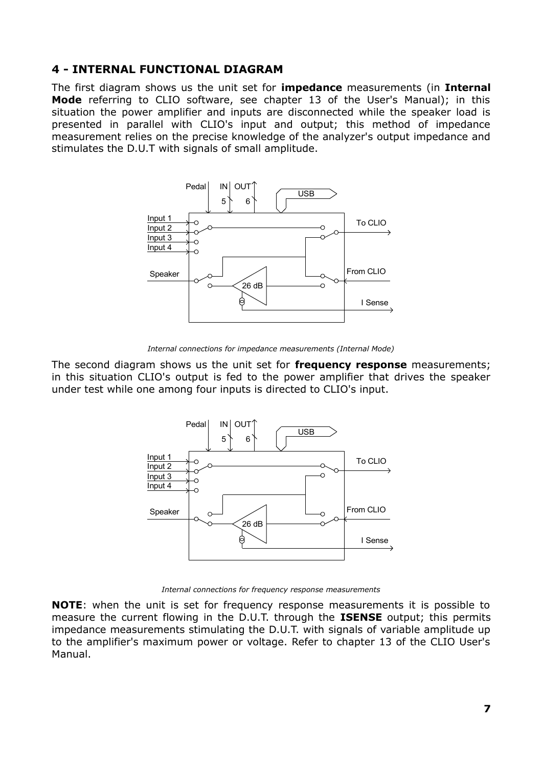## **4 - INTERNAL FUNCTIONAL DIAGRAM**

The first diagram shows us the unit set for **impedance** measurements (in **Internal Mode** referring to CLIO software, see chapter 13 of the User's Manual); in this situation the power amplifier and inputs are disconnected while the speaker load is presented in parallel with CLIO's input and output; this method of impedance measurement relies on the precise knowledge of the analyzer's output impedance and stimulates the D.U.T with signals of small amplitude.



*Internal connections for impedance measurements (Internal Mode)*

The second diagram shows us the unit set for **frequency response** measurements; in this situation CLIO's output is fed to the power amplifier that drives the speaker under test while one among four inputs is directed to CLIO's input.



*Internal connections for frequency response measurements*

**NOTE**: when the unit is set for frequency response measurements it is possible to measure the current flowing in the D.U.T. through the **ISENSE** output; this permits impedance measurements stimulating the D.U.T. with signals of variable amplitude up to the amplifier's maximum power or voltage. Refer to chapter 13 of the CLIO User's Manual.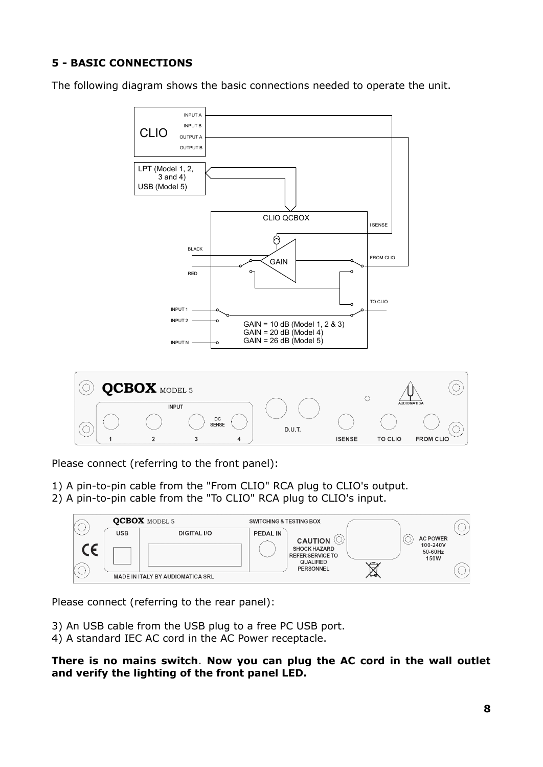# **5 - BASIC CONNECTIONS**

The following diagram shows the basic connections needed to operate the unit.



Please connect (referring to the front panel):

1) A pin-to-pin cable from the "From CLIO" RCA plug to CLIO's output. 2) A pin-to-pin cable from the "To CLIO" RCA plug to CLIO's input.



Please connect (referring to the rear panel):

- 3) An USB cable from the USB plug to a free PC USB port.
- 4) A standard IEC AC cord in the AC Power receptacle.

**There is no mains switch**. **Now you can plug the AC cord in the wall outlet and verify the lighting of the front panel LED.**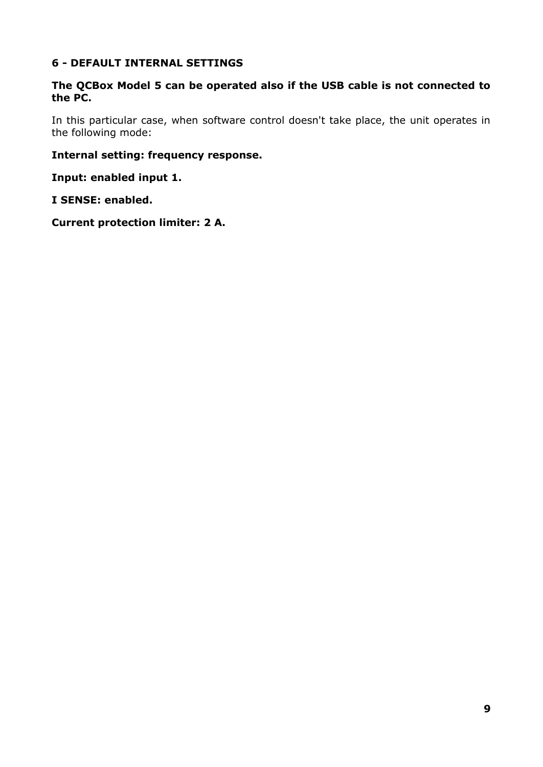## **6 - DEFAULT INTERNAL SETTINGS**

#### **The QCBox Model 5 can be operated also if the USB cable is not connected to the PC.**

In this particular case, when software control doesn't take place, the unit operates in the following mode:

#### **Internal setting: frequency response.**

**Input: enabled input 1.**

#### **I SENSE: enabled.**

**Current protection limiter: 2 A.**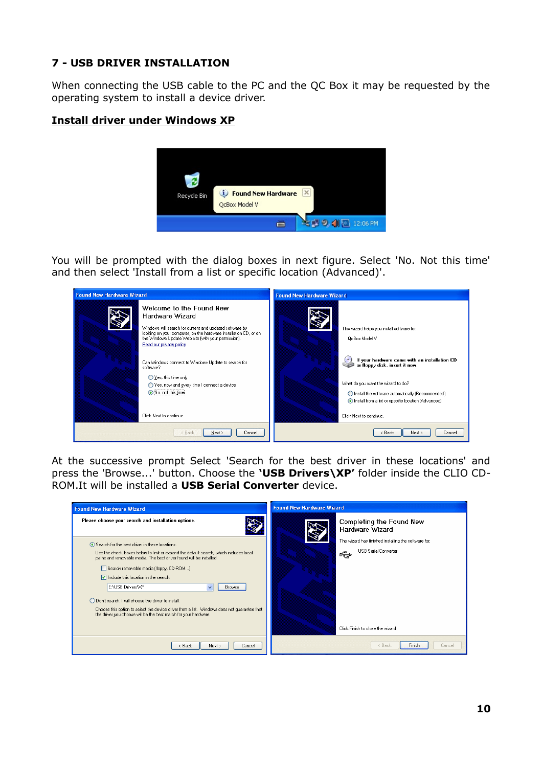## **7 - USB DRIVER INSTALLATION**

When connecting the USB cable to the PC and the QC Box it may be requested by the operating system to install a device driver.

#### **Install driver under Windows XP**



You will be prompted with the dialog boxes in next figure. Select 'No. Not this time' and then select 'Install from a list or specific location (Advanced)'.



At the successive prompt Select 'Search for the best driver in these locations' and press the 'Browse...' button. Choose the **'USB Drivers\XP'** folder inside the CLIO CD-ROM.It will be installed a **USB Serial Converter** device.

| <b>Found New Hardware Wizard</b>                                                                                                                    | <b>Found New Hardware Wizard</b>                                                         |
|-----------------------------------------------------------------------------------------------------------------------------------------------------|------------------------------------------------------------------------------------------|
| Please choose your search and installation options.                                                                                                 | Completing the Found New<br>Hardware Wizard                                              |
| ⊙ Search for the best driver in these locations.<br>Use the check boxes below to limit or expand the default search, which includes local           | The wizard has finished installing the software for:<br><b>USB Serial Converter</b><br>← |
| paths and removable media. The best driver found will be installed.<br>Search removable media (floppy, CD-ROM)                                      |                                                                                          |
| $\triangleright$ Include this location in the search:<br>E:\USB Drivers\XP<br>$\checkmark$<br>Browse                                                |                                                                                          |
| O Don't search. I will choose the driver to install.<br>Choose this option to select the device driver from a list. Windows does not guarantee that |                                                                                          |
| the driver you choose will be the best match for your hardware.                                                                                     |                                                                                          |
|                                                                                                                                                     | Click Finish to close the wizard.                                                        |
| < Back<br>Next ><br>Cancel                                                                                                                          | Finish<br>Cancel<br>< Back                                                               |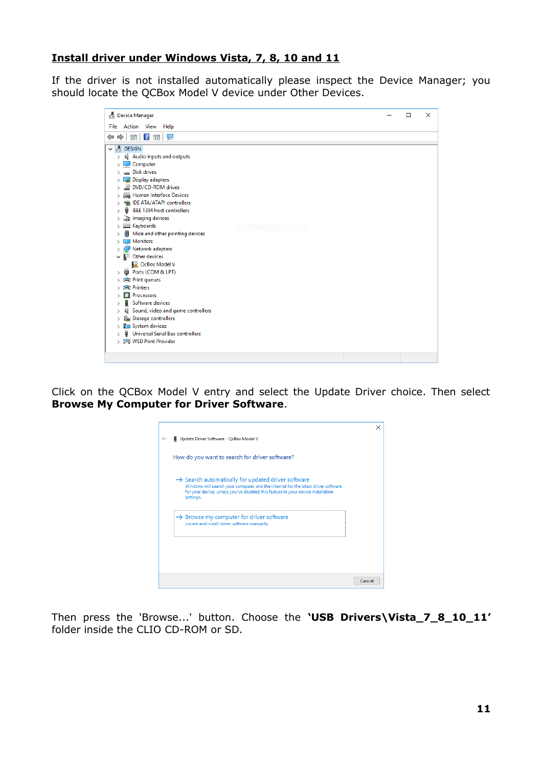#### **Install driver under Windows Vista, 7, 8, 10 and 11**

If the driver is not installed automatically please inspect the Device Manager; you should locate the QCBox Model V device under Other Devices.

|                    | <b>Device Manager</b>                   | П | $\times$ |
|--------------------|-----------------------------------------|---|----------|
|                    | File Action View<br>Help                |   |          |
| ⇔<br>$\Rightarrow$ | $\vert$ ?<br>菲<br>-9<br>इत              |   |          |
|                    | <b>A</b> DESIGN                         |   |          |
| $\mathcal{P}$      | Audio inputs and outputs                |   |          |
|                    | Computer                                |   |          |
|                    | <b>Disk drives</b>                      |   |          |
|                    | <b>Display adapters</b>                 |   |          |
|                    | DVD/CD-ROM drives                       |   |          |
|                    | Human Interface Devices                 |   |          |
|                    | IDE ATA/ATAPI controllers               |   |          |
|                    | IEEE 1394 host controllers              |   |          |
|                    | Imaging devices                         |   |          |
|                    | Keyboards                               |   |          |
|                    | Mice and other pointing devices         |   |          |
|                    | <b>Monitors</b>                         |   |          |
|                    | Network adapters                        |   |          |
|                    | $\vee$ <sup>2</sup> Other devices       |   |          |
|                    | <b>R</b> QcBox Model V                  |   |          |
|                    | Ports (COM & LPT)                       |   |          |
|                    | <b>Print queues</b>                     |   |          |
|                    | <b>Printers</b>                         |   |          |
|                    | <b>Processors</b>                       |   |          |
|                    | Software devices                        |   |          |
|                    | Sound, video and game controllers       |   |          |
|                    | Storage controllers                     |   |          |
| $\mathcal{P}$      | System devices                          |   |          |
|                    | <b>Universal Serial Bus controllers</b> |   |          |
|                    | <b>IFI WSD Print Provider</b>           |   |          |

Click on the QCBox Model V entry and select the Update Driver choice. Then select **Browse My Computer for Driver Software**.



Then press the 'Browse...' button. Choose the **'USB Drivers\Vista\_7\_8\_10\_11'** folder inside the CLIO CD-ROM or SD.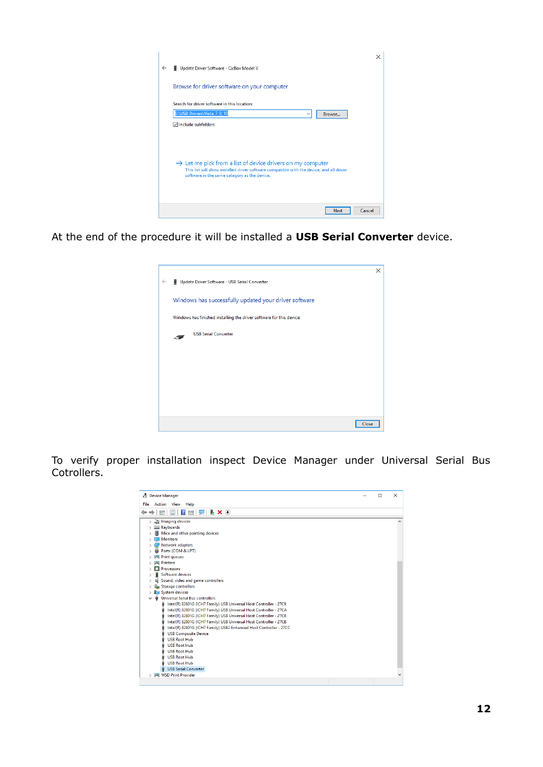|   |                                                                                          | × |
|---|------------------------------------------------------------------------------------------|---|
| ← | Update Driver Software - QcBox Model V                                                   |   |
|   |                                                                                          |   |
|   | Browse for driver software on your computer                                              |   |
|   | Search for driver software in this location:                                             |   |
|   | E:\USB Drivers\Vista 7 8 10<br>Browse<br>$\checkmark$                                    |   |
|   | <b><del>○</del></b> Include subfolders                                                   |   |
|   |                                                                                          |   |
|   |                                                                                          |   |
|   | $\rightarrow$ Let me pick from a list of device drivers on my computer                   |   |
|   | This list will show installed driver software compatible with the device, and all driver |   |
|   | software in the same category as the device.                                             |   |
|   |                                                                                          |   |
|   |                                                                                          |   |
|   | Cancel<br><b>Next</b>                                                                    |   |

At the end of the procedure it will be installed a **USB Serial Converter** device.

|              |                                                                      | $\times$ |
|--------------|----------------------------------------------------------------------|----------|
| $\leftarrow$ | Update Driver Software - USB Serial Converter                        |          |
|              | Windows has successfully updated your driver software                |          |
|              | Windows has finished installing the driver software for this device: |          |
|              | <b>USB Serial Converter</b>                                          |          |
|              |                                                                      |          |
|              |                                                                      |          |
|              |                                                                      |          |
|              |                                                                      |          |
|              | Close                                                                |          |

To verify proper installation inspect Device Manager under Universal Serial Bus Cotrollers.

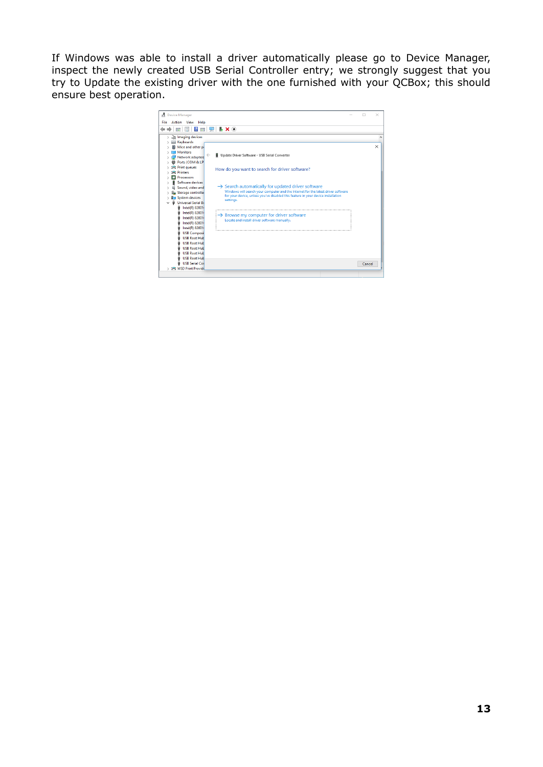If Windows was able to install a driver automatically please go to Device Manager, inspect the newly created USB Serial Controller entry; we strongly suggest that you try to Update the existing driver with the one furnished with your QCBox; this should ensure best operation.

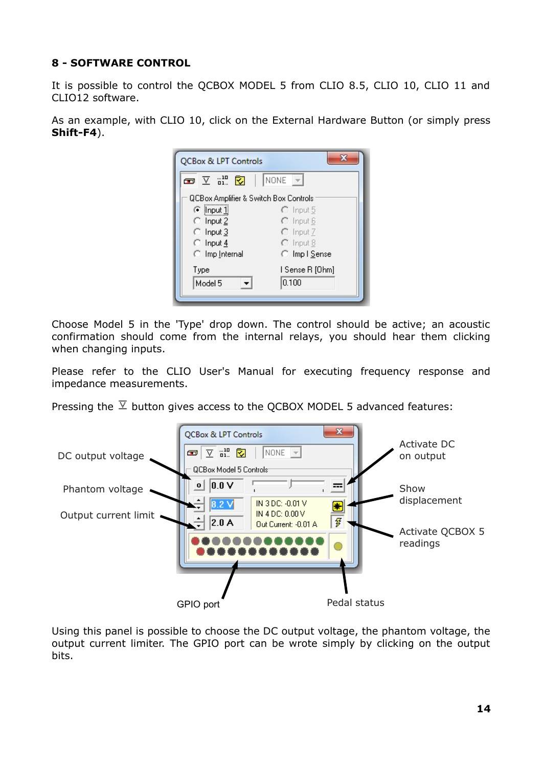## **8 - SOFTWARE CONTROL**

It is possible to control the QCBOX MODEL 5 from CLIO 8.5, CLIO 10, CLIO 11 and CLIO12 software.

As an example, with CLIO 10, click on the External Hardware Button (or simply press **Shift-F4**).

| x<br>QCBox & LPT Controls             |                      |  |
|---------------------------------------|----------------------|--|
| $\Sigma$ and $\Sigma$<br>෬            | NONE                 |  |
| QCBox Amplifier & Switch Box Controls |                      |  |
| $\odot$ input $1$                     | C Input 5            |  |
| $\bigcirc$ Input 2                    | $\bigcirc$ Input 6   |  |
| $\bigcirc$ Input 3                    | C Input 7            |  |
| $\heartsuit$ Input 4                  | $\bigcirc$ Input 8   |  |
| ◯ Imp Internal                        | ◯ Impl <u>S</u> ense |  |
| Type                                  | I Sense R [Ohm]      |  |
| Model 5                               | 0.100                |  |
|                                       |                      |  |

Choose Model 5 in the 'Type' drop down. The control should be active; an acoustic confirmation should come from the internal relays, you should hear them clicking when changing inputs.

Please refer to the CLIO User's Manual for executing frequency response and impedance measurements.

Pressing the  $\overline{Y}$  button gives access to the QCBOX MODEL 5 advanced features:



Using this panel is possible to choose the DC output voltage, the phantom voltage, the output current limiter. The GPIO port can be wrote simply by clicking on the output bits.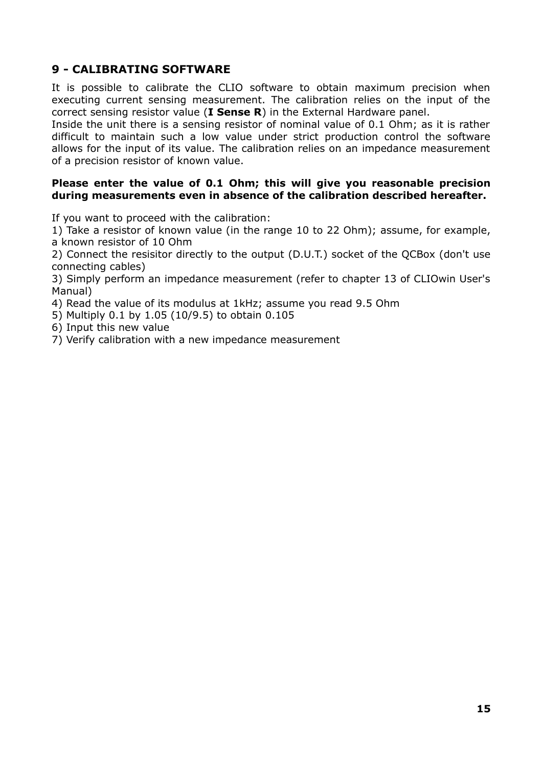## **9 - CALIBRATING SOFTWARE**

It is possible to calibrate the CLIO software to obtain maximum precision when executing current sensing measurement. The calibration relies on the input of the correct sensing resistor value (**I Sense R**) in the External Hardware panel.

Inside the unit there is a sensing resistor of nominal value of 0.1 Ohm; as it is rather difficult to maintain such a low value under strict production control the software allows for the input of its value. The calibration relies on an impedance measurement of a precision resistor of known value.

#### **Please enter the value of 0.1 Ohm; this will give you reasonable precision during measurements even in absence of the calibration described hereafter.**

If you want to proceed with the calibration:

1) Take a resistor of known value (in the range 10 to 22 Ohm); assume, for example, a known resistor of 10 Ohm

2) Connect the resisitor directly to the output (D.U.T.) socket of the QCBox (don't use connecting cables)

3) Simply perform an impedance measurement (refer to chapter 13 of CLIOwin User's Manual)

4) Read the value of its modulus at 1kHz; assume you read 9.5 Ohm

5) Multiply 0.1 by 1.05 (10/9.5) to obtain 0.105

6) Input this new value

7) Verify calibration with a new impedance measurement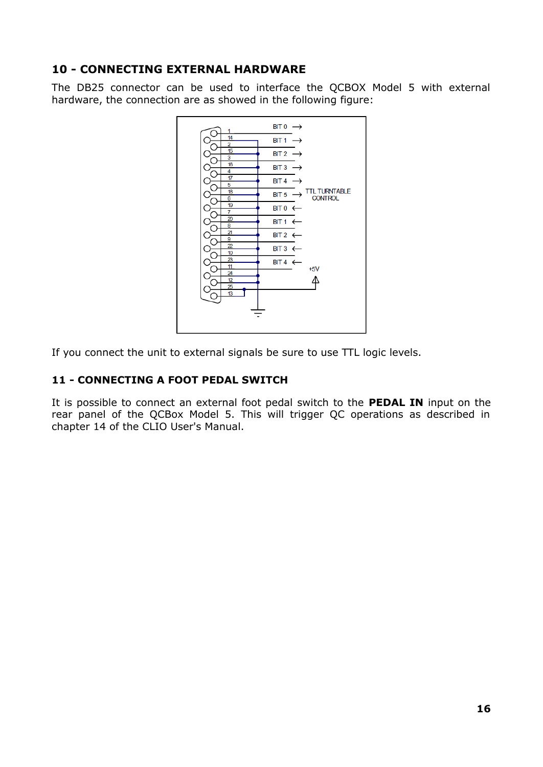## **10 - CONNECTING EXTERNAL HARDWARE**

The DB25 connector can be used to interface the QCBOX Model 5 with external hardware, the connection are as showed in the following figure:



If you connect the unit to external signals be sure to use TTL logic levels.

## **11 - CONNECTING A FOOT PEDAL SWITCH**

It is possible to connect an external foot pedal switch to the **PEDAL IN** input on the rear panel of the QCBox Model 5. This will trigger QC operations as described in chapter 14 of the CLIO User's Manual.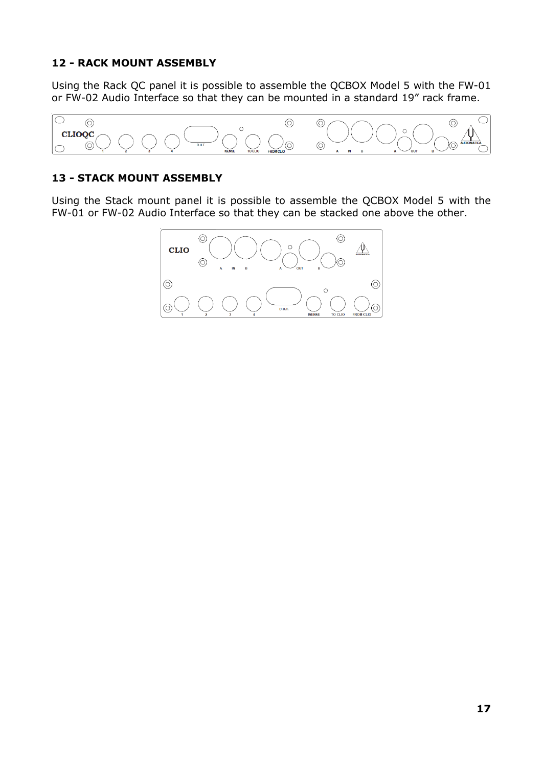## **12 - RACK MOUNT ASSEMBLY**

Using the Rack QC panel it is possible to assemble the QCBOX Model 5 with the FW-01 or FW-02 Audio Interface so that they can be mounted in a standard 19" rack frame.



## **13 - STACK MOUNT ASSEMBLY**

Using the Stack mount panel it is possible to assemble the QCBOX Model 5 with the FW-01 or FW-02 Audio Interface so that they can be stacked one above the other.